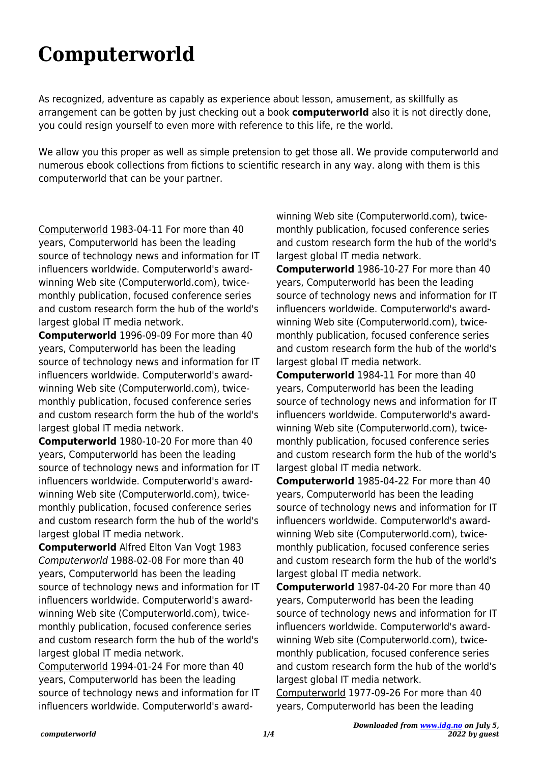## **Computerworld**

As recognized, adventure as capably as experience about lesson, amusement, as skillfully as arrangement can be gotten by just checking out a book **computerworld** also it is not directly done, you could resign yourself to even more with reference to this life, re the world.

We allow you this proper as well as simple pretension to get those all. We provide computerworld and numerous ebook collections from fictions to scientific research in any way. along with them is this computerworld that can be your partner.

Computerworld 1983-04-11 For more than 40 years, Computerworld has been the leading source of technology news and information for IT influencers worldwide. Computerworld's awardwinning Web site (Computerworld.com), twicemonthly publication, focused conference series and custom research form the hub of the world's largest global IT media network.

**Computerworld** 1996-09-09 For more than 40 years, Computerworld has been the leading source of technology news and information for IT influencers worldwide. Computerworld's awardwinning Web site (Computerworld.com), twicemonthly publication, focused conference series and custom research form the hub of the world's largest global IT media network.

**Computerworld** 1980-10-20 For more than 40 years, Computerworld has been the leading source of technology news and information for IT influencers worldwide. Computerworld's awardwinning Web site (Computerworld.com), twicemonthly publication, focused conference series and custom research form the hub of the world's largest global IT media network.

**Computerworld** Alfred Elton Van Vogt 1983 Computerworld 1988-02-08 For more than 40 years, Computerworld has been the leading source of technology news and information for IT influencers worldwide. Computerworld's awardwinning Web site (Computerworld.com), twicemonthly publication, focused conference series and custom research form the hub of the world's largest global IT media network.

Computerworld 1994-01-24 For more than 40 years, Computerworld has been the leading source of technology news and information for IT influencers worldwide. Computerworld's award-

winning Web site (Computerworld.com), twicemonthly publication, focused conference series and custom research form the hub of the world's largest global IT media network.

**Computerworld** 1986-10-27 For more than 40 years, Computerworld has been the leading source of technology news and information for IT influencers worldwide. Computerworld's awardwinning Web site (Computerworld.com), twicemonthly publication, focused conference series and custom research form the hub of the world's largest global IT media network.

**Computerworld** 1984-11 For more than 40 years, Computerworld has been the leading source of technology news and information for IT influencers worldwide. Computerworld's awardwinning Web site (Computerworld.com), twicemonthly publication, focused conference series and custom research form the hub of the world's largest global IT media network.

**Computerworld** 1985-04-22 For more than 40 years, Computerworld has been the leading source of technology news and information for IT influencers worldwide. Computerworld's awardwinning Web site (Computerworld.com), twicemonthly publication, focused conference series and custom research form the hub of the world's largest global IT media network.

**Computerworld** 1987-04-20 For more than 40 years, Computerworld has been the leading source of technology news and information for IT influencers worldwide. Computerworld's awardwinning Web site (Computerworld.com), twicemonthly publication, focused conference series and custom research form the hub of the world's largest global IT media network.

Computerworld 1977-09-26 For more than 40 years, Computerworld has been the leading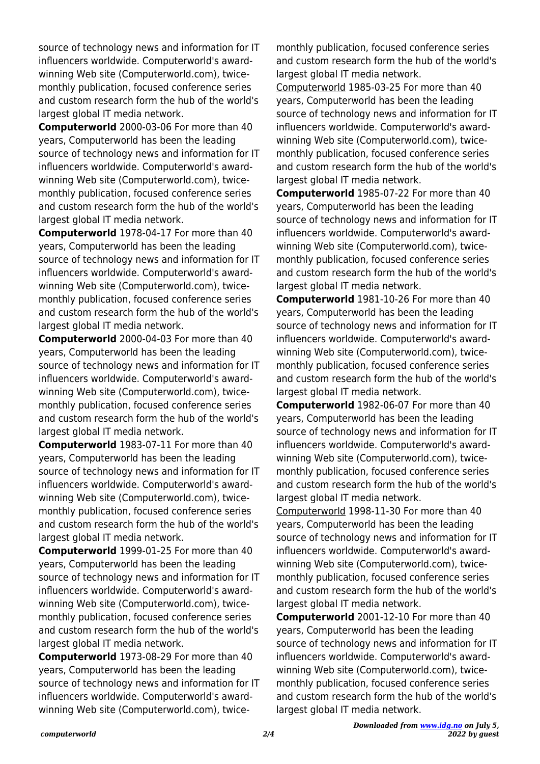source of technology news and information for IT influencers worldwide. Computerworld's awardwinning Web site (Computerworld.com), twicemonthly publication, focused conference series and custom research form the hub of the world's largest global IT media network.

**Computerworld** 2000-03-06 For more than 40 years, Computerworld has been the leading source of technology news and information for IT influencers worldwide. Computerworld's awardwinning Web site (Computerworld.com), twicemonthly publication, focused conference series and custom research form the hub of the world's largest global IT media network.

**Computerworld** 1978-04-17 For more than 40 years, Computerworld has been the leading source of technology news and information for IT influencers worldwide. Computerworld's awardwinning Web site (Computerworld.com), twicemonthly publication, focused conference series and custom research form the hub of the world's largest global IT media network.

**Computerworld** 2000-04-03 For more than 40 years, Computerworld has been the leading source of technology news and information for IT influencers worldwide. Computerworld's awardwinning Web site (Computerworld.com), twicemonthly publication, focused conference series and custom research form the hub of the world's largest global IT media network.

**Computerworld** 1983-07-11 For more than 40 years, Computerworld has been the leading source of technology news and information for IT influencers worldwide. Computerworld's awardwinning Web site (Computerworld.com), twicemonthly publication, focused conference series and custom research form the hub of the world's largest global IT media network.

**Computerworld** 1999-01-25 For more than 40 years, Computerworld has been the leading source of technology news and information for IT influencers worldwide. Computerworld's awardwinning Web site (Computerworld.com), twicemonthly publication, focused conference series and custom research form the hub of the world's largest global IT media network.

**Computerworld** 1973-08-29 For more than 40 years, Computerworld has been the leading source of technology news and information for IT influencers worldwide. Computerworld's awardwinning Web site (Computerworld.com), twicemonthly publication, focused conference series and custom research form the hub of the world's largest global IT media network.

Computerworld 1985-03-25 For more than 40 years, Computerworld has been the leading source of technology news and information for IT influencers worldwide. Computerworld's awardwinning Web site (Computerworld.com), twicemonthly publication, focused conference series and custom research form the hub of the world's largest global IT media network.

**Computerworld** 1985-07-22 For more than 40 years, Computerworld has been the leading source of technology news and information for IT influencers worldwide. Computerworld's awardwinning Web site (Computerworld.com), twicemonthly publication, focused conference series and custom research form the hub of the world's largest global IT media network.

**Computerworld** 1981-10-26 For more than 40 years, Computerworld has been the leading source of technology news and information for IT influencers worldwide. Computerworld's awardwinning Web site (Computerworld.com), twicemonthly publication, focused conference series and custom research form the hub of the world's largest global IT media network.

**Computerworld** 1982-06-07 For more than 40 years, Computerworld has been the leading source of technology news and information for IT influencers worldwide. Computerworld's awardwinning Web site (Computerworld.com), twicemonthly publication, focused conference series and custom research form the hub of the world's largest global IT media network.

Computerworld 1998-11-30 For more than 40 years, Computerworld has been the leading source of technology news and information for IT influencers worldwide. Computerworld's awardwinning Web site (Computerworld.com), twicemonthly publication, focused conference series and custom research form the hub of the world's largest global IT media network.

**Computerworld** 2001-12-10 For more than 40 years, Computerworld has been the leading source of technology news and information for IT influencers worldwide. Computerworld's awardwinning Web site (Computerworld.com), twicemonthly publication, focused conference series and custom research form the hub of the world's largest global IT media network.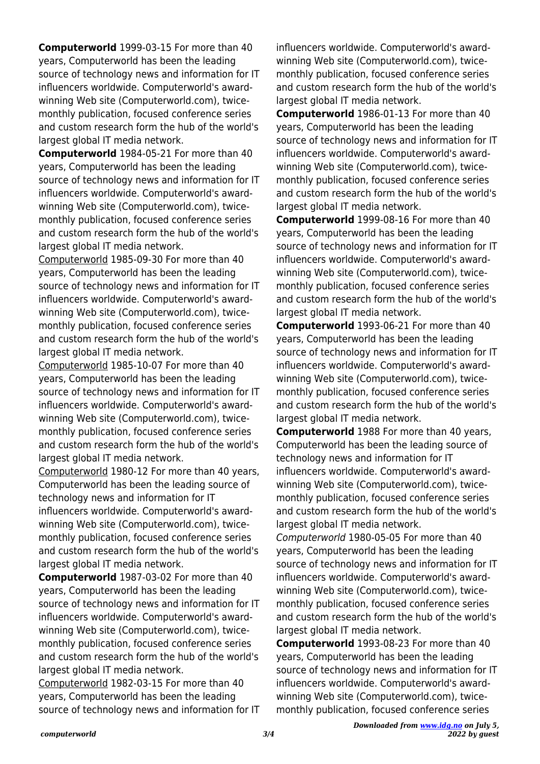**Computerworld** 1999-03-15 For more than 40 years, Computerworld has been the leading source of technology news and information for IT influencers worldwide. Computerworld's awardwinning Web site (Computerworld.com), twicemonthly publication, focused conference series and custom research form the hub of the world's largest global IT media network.

**Computerworld** 1984-05-21 For more than 40 years, Computerworld has been the leading source of technology news and information for IT influencers worldwide. Computerworld's awardwinning Web site (Computerworld.com), twicemonthly publication, focused conference series and custom research form the hub of the world's largest global IT media network.

Computerworld 1985-09-30 For more than 40 years, Computerworld has been the leading source of technology news and information for IT influencers worldwide. Computerworld's awardwinning Web site (Computerworld.com), twicemonthly publication, focused conference series and custom research form the hub of the world's largest global IT media network.

Computerworld 1985-10-07 For more than 40 years, Computerworld has been the leading source of technology news and information for IT influencers worldwide. Computerworld's awardwinning Web site (Computerworld.com), twicemonthly publication, focused conference series and custom research form the hub of the world's largest global IT media network.

Computerworld 1980-12 For more than 40 years, Computerworld has been the leading source of technology news and information for IT influencers worldwide. Computerworld's awardwinning Web site (Computerworld.com), twicemonthly publication, focused conference series and custom research form the hub of the world's largest global IT media network.

**Computerworld** 1987-03-02 For more than 40 years, Computerworld has been the leading source of technology news and information for IT influencers worldwide. Computerworld's awardwinning Web site (Computerworld.com), twicemonthly publication, focused conference series and custom research form the hub of the world's largest global IT media network.

Computerworld 1982-03-15 For more than 40 years, Computerworld has been the leading source of technology news and information for IT influencers worldwide. Computerworld's awardwinning Web site (Computerworld.com), twicemonthly publication, focused conference series and custom research form the hub of the world's largest global IT media network.

**Computerworld** 1986-01-13 For more than 40 years, Computerworld has been the leading source of technology news and information for IT influencers worldwide. Computerworld's awardwinning Web site (Computerworld.com), twicemonthly publication, focused conference series and custom research form the hub of the world's largest global IT media network.

**Computerworld** 1999-08-16 For more than 40 years, Computerworld has been the leading source of technology news and information for IT influencers worldwide. Computerworld's awardwinning Web site (Computerworld.com), twicemonthly publication, focused conference series and custom research form the hub of the world's largest global IT media network.

**Computerworld** 1993-06-21 For more than 40 years, Computerworld has been the leading source of technology news and information for IT influencers worldwide. Computerworld's awardwinning Web site (Computerworld.com), twicemonthly publication, focused conference series and custom research form the hub of the world's largest global IT media network.

**Computerworld** 1988 For more than 40 years, Computerworld has been the leading source of technology news and information for IT influencers worldwide. Computerworld's awardwinning Web site (Computerworld.com), twicemonthly publication, focused conference series and custom research form the hub of the world's largest global IT media network.

Computerworld 1980-05-05 For more than 40 years, Computerworld has been the leading source of technology news and information for IT influencers worldwide. Computerworld's awardwinning Web site (Computerworld.com), twicemonthly publication, focused conference series and custom research form the hub of the world's largest global IT media network.

**Computerworld** 1993-08-23 For more than 40 years, Computerworld has been the leading source of technology news and information for IT influencers worldwide. Computerworld's awardwinning Web site (Computerworld.com), twicemonthly publication, focused conference series